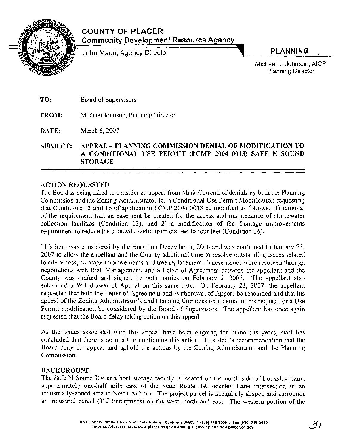

# **COUNTY OF PLACER Community Development Resource Agency**

John Marin, Agency Director **PLANNING** 

Michael J. Johnson, AIC Planning Director

**TO:** Board of Supervisors

**FROM:** Michael Johnson, Planning Director

**DATE:** March 6,2007

**SUBJECT: APPEAL** - **PLANNING COMMISSION DENIAL OF MODIFICATION TO A CONDITIONAL USE PERMIT (PCMP 2004 0013) SAFE N SOUND STORAGE** 

# **ACTION REQUESTED**

The Board is being asked to consider an appeal from Mark Correnti of denials by both the Planning Commission and the Zoning Administrator for a Conditional Use Permit Modification requesting that Conditions 13 and 16 of application PCMP 2004 0013 be modified as follows: 1) removal of the requirement that an easement be created for the access and maintenance of stormwater collection facilities (Condition 13); and 2) a modification of the frontage improvements requirement to reduce the sidewalk width from six feet to four feet (Condition 16).

This item was considered by the Board on December 5, 2006 and was continued to January 23, 2007 to allow the appellant and the County additional time to resolve outstanding issues related to site access, frontage improvements and tree replacement. These issues were resolved through negotiations with Risk Management, and a Letter of Agreement between the appellant and the County was drafted and signed by both parties on February 2, 2007. The appellant also submitted a Withdrawal of Appeal on this same date. On February 23, 2007, the appellant requested that both the Letter of Agreement and Withdrawal of Appeal be rescinded and that his appeal of the Zoning Administrator's and Planning Commission's denial of his request for a Use Permif modification be considered by the Board of Supervisors. The appellant has once again requested that the Board delay taking action on this appeal.

As the issues associated with this appeal have been ongoing for numerous years, staff has concluded that there is no merit in continuing this action. It is staffs recommendation that the Board deny the appeal and uphold the actions by the Zoning Administrator and the Planning Commission.

# **BACKGROUND**

The Safe N Sound RV and boat storage facility is located on the north side of Locksley Lane, approximately one-half mile east of the State Route 49/Locksley Lane intersection in an industrially-zoned area in North Auburn. The project parcel is irregularly shaped and surrounds an industrial parcel (T J Enterprises) on the west, north and east. The western portion of the

-31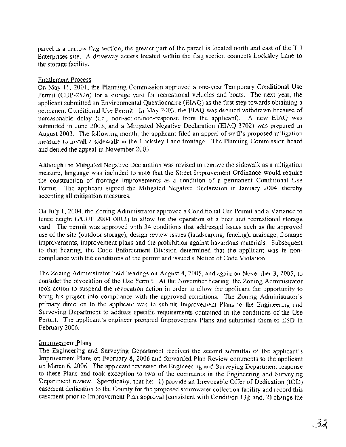parcel is a narrow flag section; the greater part of the parcel is located north and east of the T J Enterprises site. A driveway access located within the flag section connects Locksley Lane to the storage facility.

#### Entitlement Process

On May 11, 2001, the Planning Commission approved a one-year Temporary Conditional Use Permit (CUP-2526) for a storage yard for recreational vehicles and boats. The next year, the applicant submitted an Environmental Questionnaire (EIAQ) as the first step towards obtaining a permanent Conditional Use Permit. In May 2003, the EIAQ was deemed withdrawn because of unreasonable delay (i.e., non-action/non-response from the applicant). A new EIAQ was submitted in June 2003, and a Mitigated Negative Declaration (EIAQ-3702) was prepared in August 2003. The following month, the applicant filed an appeal of staff's proposed mitigation measure to install a sidewalk in the Locksley Lane frontage. The Planning Commission heard and denied the appeal in November 2003.

Although the Mitigated Negative Declaration was revised to remove the sidewalk as a mitigation measure, language was included to note that the Street Improvement Ordinance would require the construction of frontage improvements as a condition of a permanent Conditional Use Permit. The applicant signed the Mitigated Negative Declaration in January 2004, thereby accepting all mitigation measures.

On July 1, 2004, the Zoning Administrator approved a Conditional Use Permit and a Variance to fence height (PCUP 2004 0013) to allow for the operation of a boat and recreational storage yard. The permit was approved with 34 conditions that addressed issues such as the approved use of the site (outdoor storage), design review issues (landscaping, fencing), drainage, frontage improvements, improvement plans and the prohibition against hazardous materials. Subsequent to that hearing, the Code Enforcement Division determined that the applicant was in noncompliance with the conditions of the permit and issued a Notice of Code violation.

The Zoning Administrator held hearings on August 4, 2005, and again on November 3, 2005, to consider the revocation of the Use Permit. At the November hearing, the Zoning Administrator took action to suspend the revocation action in order to allow the applicant the opportunity to bring his project into compliance with the approved conditions. The Zoning Administrator's primary direction to the applicant was to submit Improvement Plans to the Engineering and Surveying Department to address specific requirements contained in the conditions of the Use Permit. The applicant's engineer prepared Improvement Plans and submitted them to ESD in February 2006.

# Improvement Plans

The Engineering and Surveying Department received the second submittal of the applicant's Improvement Plans on February 8, 2006 and forwarded Plan Review comments to the applicant on March 6,2006. The applicant reviewed the Engineering and Surveying Department response to these Plans and took exception to two of the comments in the Engineering and Surveying Department review. Specifically, that he: 1) provide an Irrevocable Offer of Dedication (IOD) easement dedication to the County for the proposed stormwater collection facility and record this easement prior to Improvement Plan approval [consistent with Condition 131; and, 2) change the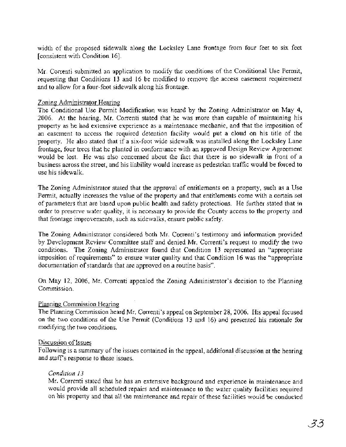width of the proposed sidewalk along the Locksley Lane frontage from four feet to six feet [consistent with Condition 161.

Mr. Correnti submitted an application to modify the conditions of the Conditional Use Permit, requesting that Conditions 13 and 16 be modified to remove the access easement requirement and to allow for a four-foot sidewalk along his frontage.

#### Zoning Administrator Hearing

The Conditional Use Permit Modification was heard by the Zoning Administrator on May 4, 2006. At the hearing, Mr. Correnti stated that he was more than capable of maintaining his property as he had extensive experience as a maintenance mechanic, and that the imposition of an easement to access the required detention facility would put a cloud on his title of the property. He also stated that if a six-foot wide sidewalk was installed along the Locksley Lane frontage, four trees that he planted in conformance with an approved Design Review Agreement would be lost. He was also concerned about the fact that there is no sidewalk in front of a business across the street, and his liability would increase as pedestrian traffic would be forced to use his sidewalk.

The Zoning Administrator stated that the approval of entitlements on a property, such as a Use Permit, actually increases the value of the property and that entitlements come with a certain set of parameters that are based upon public health and safety protections. He further stated that in order to preserve water quality, it is necessary to provide the County access to the property and that frontage improvements, such as sidewalks, ensure public safety.

The Zoning Administrator considered both Mr. Correnti's testimony and information provided by Development Review Committee staff and denied Mr. Correnti's request to modify the two conditions. The Zoning Administrator found that Condition 13 represented an "appropriate imposition of requirements" to ensure water quality and that Condition 16 was the "appropriate documentation of standards that are approved on a routine basis".

On May 12, 2006, Mr. Correnti appealed the Zoning Administrator's decision to the Planning Commission.

#### Planning Commission Hearing

The Planning Commission heard Mr. Correnti's appeal on September 28,2006. His appeal focused on the two conditions of the Use Permit (Conditions 13 and 16) and presented his rationale for modifying the two conditions.

#### Discussion of Issues

Following is a summary of the issues contained in the appeal, additional discussion at the hearing and staff's response to these issues.

#### *Condition 13*

Mr. Correnti stated that he has an extensive background and experience in maintenance and would provide all scheduled repairs and maintenance to the water quality facilities required on his property and that all the maintenance and repair of these facilities would be conducted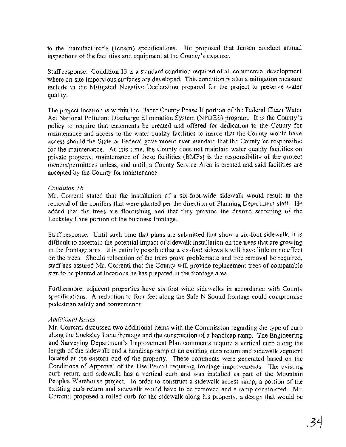to the manufacturer's (Jensen) specifications. He proposed that Jensen conduct annual inspections of the facilities and equipment at the County's expense.

Staff response: Condition 13 is a standard condition required of all commercial development where on-site impervious surfaces are developed. This condition is also a mitigation measure include in the Mitigated Negative Declaration prepared for the project to preserve water quality.

The project location is within the Placer County Phase I1 portion of the Federal Clean Water Act National Pollutant Discharge Elimination System (NPDES) program. It is the County's policy to require that easements be created and offered for dedication to the County for maintenance and access to the water quality facilities to insure that the County would have access should the State or Federal government ever mandate that the County be responsible for the maintenance. At this time, the County does not maintain water quality facilities on private property, maintenance of these facilities (BMPs) is the responsibility of the project owners/permittees unless, and until, a County Service Area is created and said facilities are accepted by the County for maintenance.

#### *Condition I6*

Mr. Correnti stated that the installation of a six-foot-wide sidewalk would result in the removal of the conifers that were planted per the direction of Planning Department staff. He added that the trees are flourishing and that they provide the desired screening of the Locksley Lane portion of the business frontage.

Staff response: Until such time that plans are submitted that show a six-foot sidewalk, it is difficult to ascertain the potential impact of sidewalk installation on the trees that are growing in the frontage area. It is entirely possible that a six-foot sidewalk will have little or no effect on the trees. Should relocation of the trees prove problematic and tree removal be required, staff has assured Mr. Correnti that the County will provide replacement trees of comparable size to be planted at locations he has prepared in the frontage area.

Furthermore, adjacent properties have six-foot-wide sidewalks in accordance with County specifications. A reduction to four feet along the Safe N Sound frontage could compromise pedestrian safety and convenience.

# *Additional Issues*

Mr. Correnti discussed two additional items with the Commission regarding the type of curb along the Locksley Lane frontage and the construction of a handicap ramp. The Engineering and Surveying Department's Improvement Plan comments require a vertical curb along the length of the sidewalk and a handicap ramp at an existing curb return and sidewalk segment located at the eastern end of the property. These comments were generated based on the Conditions of Approval of the Use Permit requiring frontage improvements. The existing curb return and sidewalk has a vertical curb and was installed as part of the Mountain Peoples Warehouse project. In order to construct a sidewalk access ramp, a portion of the existing curb return and sidewalk would have to be removed and a ramp constructed. Mr. Correnti proposed a rolled curb for the sidewalk along his property, a design that would be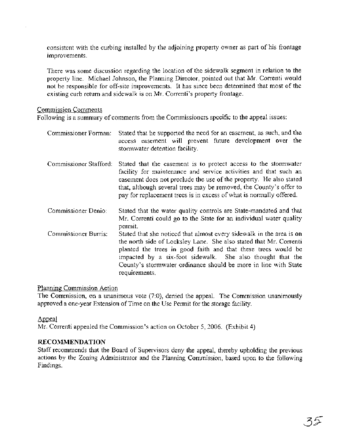consistent with the curbing installed by the adjoining property owner as part of his frontage improvements.

There was some discussion regarding the location of the sidewalk segment in relation to the property line. Michael Johnson, the Planning Director, pointed out that Mr. Correnti would not be responsible for off-site improvements. It has since been determined that most of the existing curb return and sidewalk is on Mr. Correnti's property frontage.

#### Commission Comments

Following is a summary of comments from the Commissioners specific to the appeal issues:

Commissioner Forman: Stated that he supported the need for an easement, as such, and the access easement will prevent future development over the stormwater detention facility. Commissioner Stafford: Stated that the easement is to protect access to the stormwater facility for maintenance and service activities and that such an easement does not preclude the use of the property. He also stated that, although several trees may be removed, the County's offer to pay for replacement trees is in excess of what is normally offered. Commissioner Denio: Stated that the water quality controls are State-mandated and that Mr. Correnti could go to the State for an individual water quality permit. Commissioner Burris: Stated that she noticed that almost every sidewalk in the area is on the north side of Locksley Lane. She also stated that Mr. Correnti planted the trees in good faith and that these trees would be impacted by a six-foot sidewalk. She also thought that the County's stormwater ordinance should be more in line with State requirements.

#### Planning Commission Action

The Commission, on a unanimous vote (7:0), denied the appeal. The Commission unanimously approved a one-year Extension of Time on the Use Permit for the storage facility.

#### Appeal

Mr. Correnti appealed the Commission's action on October 5, 2006. (Exhibit 4)

# RECOMMENDATION

Staff recommends that the Board of Supervisors deny the appeal, thereby upholding the previous actions by the Zoning Administrator and the Planning Commission, based upon to the following Findings.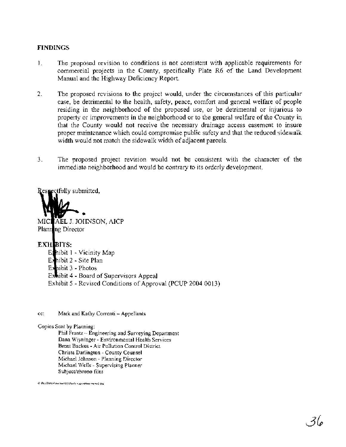### **FINDINGS**

- 1. The proposed revision to conditions is not consistent with applicable requirements for commercial projects in the County, specifically Plate R6 of the Land Development Manual and the Highway Deficiency Report.
- 2. The proposed revisions to the project would, under the circumstances of this particular case, be detrimental to the health, safety, peace, comfort and general welfare of people residing in the neighborhood of the proposed use, or be detrimental or injurious to property or improvements in the neighborhood or to the general welfare of the County in that the County would not receive the necessary drainage access easement to insure proper maintenance which could compromise public safety and that the reduced sidewalk width would not match the sidewalk width of adjacent parcels.
- 3. The proposed project revision would not be consistent with the character of the immediate neighborhood and would be contrary to its orderly development.

ctfully submitted,



AEL J. JOHNSON, AICP MICI Planning Director

# **EXHEITS:**

Emibit 1 - Vicinity Map Exhibit 2 - Site Plan Exhibit 3 - Photos Exhibit 4 - Board of Supervisors Appeal Exhibit 5 - Revised Conditions of Approval (PCUP 2004 0013)

cc: Mark and Kathy Correnti - Appellants

Copies Sent by Planning:

Phil Frantz - Engineering and Surveying Department Dana Wiyninger - Environmental Health Services Brent Backus - Air Pollution Control District Christa Darlington - County Counsel Michael Johnson - Planning Director Michael Wells - Supervising Planner Subject/chrono files

**0 WLUSWLNhchaclU3OSkafe n round\bar mmol doc**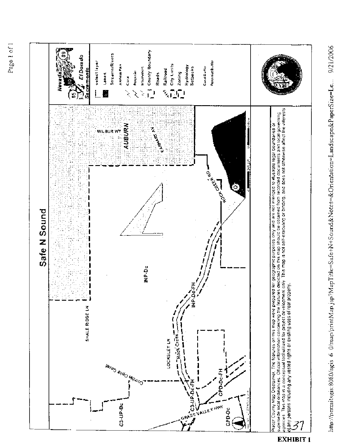

http://permitsgis:8080/agis 6 0/map/printMap.jsp?MapTitle=Safe+N+Sound&Notes=&Orientation=Landscape&PaperSize=Le... 9/21/2006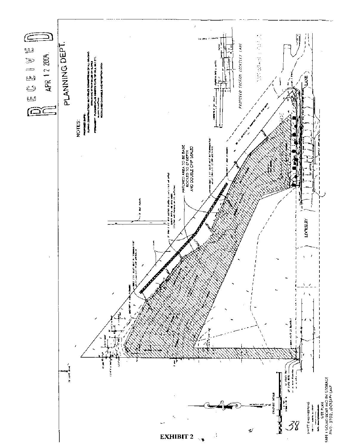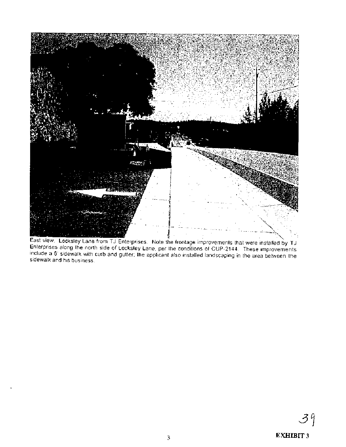

East view. Locksley Lane from TJ Enterprises. Note the frontage improvements that were installed by TJ<br>Enterprises along the north side of Locksley Lane, per the conditions of CUP-2144. These improvements<br>include a 6' side sidewalk and his business.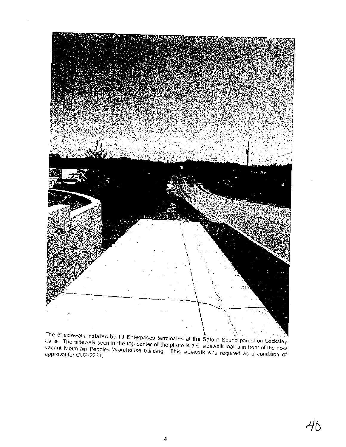

The 6' sidewalk installed by TJ Enterprises terminates at the Safe n Sound parcel on Locksley<br>Lane The sidewalk seen in the top center of the photo is a 6' sidewalk that is in front of the now vacant Mountain Peoples Warehouse building. This sidewalk was required as a condition of approval for CUP-2231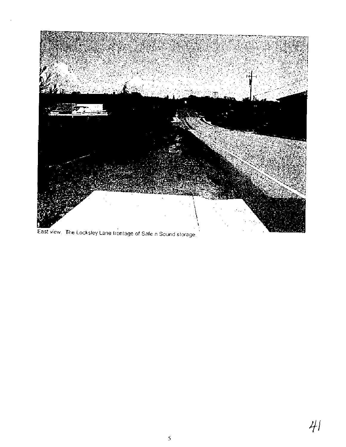

East view. The Locksley Lane frontage of Safe n Sound storage.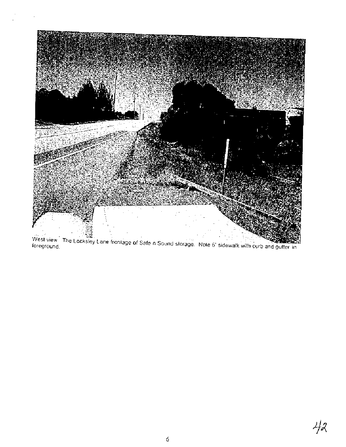

West view The Locksley Lane frontage of Safe n Sound storage. Note 6' sidewalk with curb and gutter in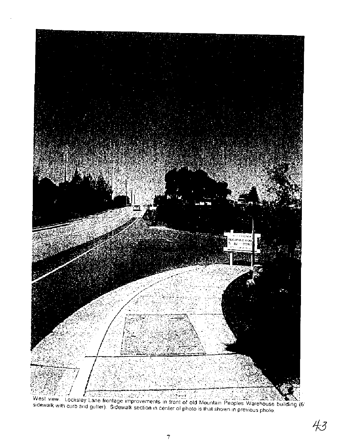

West view. Locksley Lane frontage improvements in front of old Mountain Peoples Warehouse building (6)<br>Sidewalk with curb and gutter). Sidewalk section in center of photo is that shown in previous photo.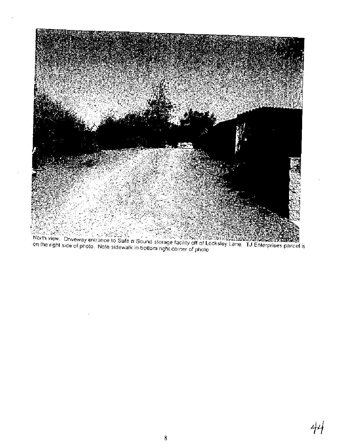

Machine Control of the Control of the Control of the Control of the Control of the Control of the Control of the Control of the Control of the Control of the Control of the Control of the Control of the Control of the Cont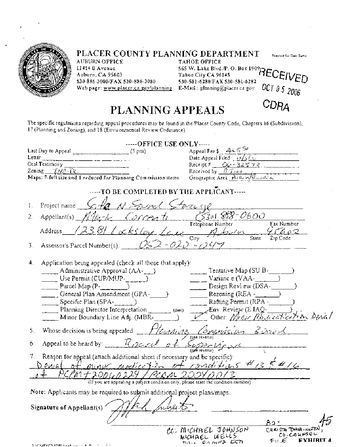

# **PLACER COUNTY PLANNING DEPARTMENT** *Reserved for Date Sump* **AUBURN OFFICE**

AUBURN OFFICE TAHOE OFFICE **11414 B Avenue** 565 W. Lake Blyd./P. O. Box 1909<sub>1</sub>

Auburn, CA 95603 **Tahoe City CA 96145 PEUEIVED**<br>530-886-3000/FAX 530-886-3080 530-581-6280/FAX 530-581-6282 **S30-886-3000/FAX 530-886-3080**<br>Web page: <u>www.placer.ca.gov/planning</u> **E-Mail** : planning@placer.ca.gov **OCT 0 5 2006** 

CDRA

# **PLANNING APPEALS**

The specific regulations regarding appeal procedures may be found in the Placer County Code, Chapters 16 (Subdivision), 17 (Planning and Zoning), and 18 (Environmental Review Ordinance).

| OFFICE USE ONLY                                                                                                                                                                                                                          |                                                  |
|------------------------------------------------------------------------------------------------------------------------------------------------------------------------------------------------------------------------------------------|--------------------------------------------------|
|                                                                                                                                                                                                                                          | Appeal Fee $s = 465$                             |
| Letter                                                                                                                                                                                                                                   | Date Appeal Filed $\frac{18}{26}$ f.x.           |
| Oral Testimony                                                                                                                                                                                                                           | Receipt # $C6 - 32573$ .                         |
| Zoning $\underline{\mathcal{TM}2}\cdot\widehat{D}$ Received by $\underline{\mathcal{BT}n2}\cdot\widehat{D}$<br>Maps: 7-full size and 1 reduced for Planning Commission items Geographic Area $\underline{\mathcal{HM}2}\cdot\widehat{D}$ |                                                  |
|                                                                                                                                                                                                                                          |                                                  |
| ----TO BE COMPLETED BY THE APPLICANT----                                                                                                                                                                                                 |                                                  |
| Project name Sita N Spiral Store of<br>1.                                                                                                                                                                                                |                                                  |
| Appellant(s) Allerk Carcenti (5301888-0600<br>2.                                                                                                                                                                                         |                                                  |
| Address 12381 Locksley Lave                                                                                                                                                                                                              | Telephone Number<br>Fax Number<br>95602          |
|                                                                                                                                                                                                                                          | City<br>State Zip Code                           |
| OS 2 - 020 - 709 7<br>Assessor's Parcel Number(s):<br>3.                                                                                                                                                                                 |                                                  |
|                                                                                                                                                                                                                                          |                                                  |
| Application being appealed (check all those that apply):<br>4.                                                                                                                                                                           |                                                  |
| $\sim$ Administrative Approval (AA- $\sim$ )                                                                                                                                                                                             | Tentative Map (SU B-                             |
| Use Permit (CUP/MUP- $\_\_$                                                                                                                                                                                                              | Variance (VAA- $\qquad$ )                        |
| Parcel Map (P-1999)                                                                                                                                                                                                                      | Design Revi ew (DSA-                             |
| _____ General Plan Amendment (GPA-_____                                                                                                                                                                                                  | Rezoning $(REA -$                                |
| $S$ pecific Plan (SPA- $\ldots$ )                                                                                                                                                                                                        | Rafting Permit (RPA -                            |
| Planning Director Interpretation<br>(date)                                                                                                                                                                                               | Env. Review (E IAQ- $\_\_\_\$                    |
| _ __ Minor Boundary Line Adj. (MBR-                                                                                                                                                                                                      | Other Mease Moderation Senial                    |
| 5. Whose decision is being appealed: $\mathbb{F}/\ell$ undung, Comprussion, Scrapt                                                                                                                                                       |                                                  |
| Appeal to be heard by: $\frac{\pi}{2}$ 2001 $\ell$ of<br>6.                                                                                                                                                                              | Supervisora                                      |
| Reason for appeal (attach additional sheet if necessary and be specific):                                                                                                                                                                |                                                  |
|                                                                                                                                                                                                                                          |                                                  |
| Penial of minut modication of conditions #135#16                                                                                                                                                                                         |                                                  |
| PCPM + 2001, 0224 / PCQM 20<br>(If you are appealing a project condition only, please state the condition number)                                                                                                                        |                                                  |
| Note: Applicants may be required to submit additional project plans/maps.                                                                                                                                                                |                                                  |
|                                                                                                                                                                                                                                          |                                                  |
| Signature of Appellant(s)                                                                                                                                                                                                                |                                                  |
|                                                                                                                                                                                                                                          | B۵                                               |
|                                                                                                                                                                                                                                          | CC: MICHAEL JOHNSON<br>CHRISTA DARINGTON         |
|                                                                                                                                                                                                                                          | CD. COUNSEL<br>MICHAEL WELLS<br><b>EXHIRIT 4</b> |
|                                                                                                                                                                                                                                          | € 11 €<br>COMME COM<br>1011.1                    |
| TIM MENTATION CALL THE LETTER                                                                                                                                                                                                            |                                                  |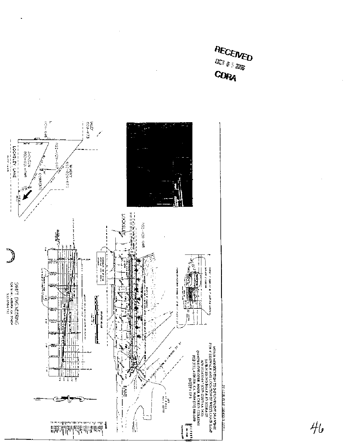

j.

<u>דן יוסטר כונס מספטטל דופפון ד</u>

RECEIVED **DET A 5 2006** 

CORA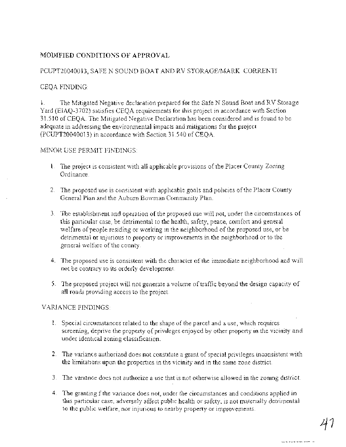# MODIFIED CONDITIONS OF APPROVAL

# PCUPT20040013, SAFE N SOUND BOAT AND RV STORAGE/MARK CORRENTI

# CEQA FINDING:

1. The Mitigated Negative declaration prepared for the Safe N Sound Boat and RV Storage Yard (EIAQ-3702) satisfies CEQA requirements for this project in accordance with Section 3 1 .S 10 of CEQA. The Mitigated Negative Declaration has been considered and is found to be adequate in addressing the environmental impacts and mitigations for the project (PCUPT20040013) in accordance with Section 3 1.540 of CEQA.

#### MINOR USE PERMIT FINDINGS:

- 1. The project is consistent with all applicable provisions of the Placer County Zoning Ordinance.
- 2. The proposed use is consistent with apphcable goals and policies of the Placer County General Plan and the Auburn Bowman Community Plan.
- 3. The establishment and operation of the proposed use will not, under the circumstances of this particular case, be detrimental to the health, safety, peace, comfort and general welfare of people residing or working in the neighborhood of the proposed use, or be detrimental or injurious to property or improvements in the neighborhood or to the general welfare of the county.
- 4. The proposed use is consistent with the character of the immediate neighborhood and will not be contrary to its orderly development.
- *5.* The proposed project will not generate a volume of traffic beyond the design capacity of all roads providing access to the project.

# VARIANCE FINDINGS:

- 1. Special circumstances related to the shape of the parcel and a use, which requires screening, deprive the property of privileges enjoyed by other property in the vicinity and under identical zoning classification.
- 2. The variance authorized does not constitute a grant of special privileges inconsistent with the limitations upon the properties in the vicinity and in the same zone district.
- 3. The variance does not authorize a use that is not otherwise allowed in the zoning district.
- 4. The granting f the variance does not, under the circumstances and conditions applied in this particular case, adversely affect public health or safety, is not materially detrimental to the public welfare, nor injurious to nearby property or improvements.

<u>the community of the second</u>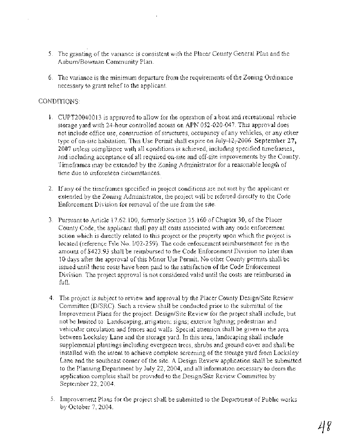- 5. The granting of the variance is consistent with the Placer County General Plan and the Aubum/Bowman Community Plan.
- 6. The variance is the minimum departure from the requirements of the Zoning Ordinance necessary to grant relief to the applicant.

# CONDITIONS:

- CUPT20040013 is approved to allow for the operation of a boat and recreational vehicle storage yard with 24-hour controlled access on APN 052-020-047. This approval does not include office use, construction of structures, occupancy of any vehicles, or any other type of on-site habitation. This Use Permit shall expire on  $\frac{1}{4}$  42, 2006 September 27, 2007 unless compliance with all conditions is achieved, including specified timeframes, and including acceptance of all required on-site and off-site improvements by the County. Timeframes may be extended by the Zoning Administrator for a reasonable length of time due to unforeseen circumstances.
- 2. If any of the timeframes specified in project conditions are not met by the applicant or extended by the Zoning Administrator, the project will be referred directly to the Code Enforcement Division for removal of the use from the site.
- Pursuant to Article 17.62.100, formerly Section 35.160 of Chapter 30, of the Placer County Code, the applicant shall pay all costs associated with any code enforcement action which is directly related to this project or the property upon which the project is located (reference File No. 1/02-259). The code enforcement reimbursement fee in the amount of \$423.93 shall be reimbursed to the Code Enforcement Division no later than 10 days after the approval of this Minor Use Permit. No other County permits shall be issued until these costs have been paid to the satisfaction of the Code Enforcement Division. The project approval is not considered valid until the costs are reimbursed in full.
- 4. The project is subject to review and approval by the Placer County Design/Site Review Committee (DJSRC). Such a review shall be conducted prior to the submittal of the Improvement Plans for the project. Design/Site Review for the project shall include, but not be limited to: Landscaping, irrigation; signs; exterior lighting; pedestrian and vehicular circulation and fences and walls. Special attention shall be given to the area between Locksley Lane and the storage yard. In this area, landscaping shall include supplemental plantings including evergreen trees, shrubs and ground cover and shall be installed with the intent to achieve complete screening of the storage yard from Locksley Lane and the southeast comer of the site. A Design Review application shall be submitted to the Planning Department by July 22, 2004, and all information necessary to deem the application complete shall be provided to the Design/Site Review Committee by September 22, 2004.
- *5.* Improvement Plans for the project shall be submitted to the Department of Public works by October 7, 2004.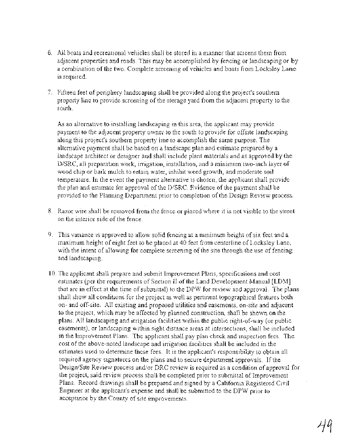- 6. All boats and recreational vehicles shall be stored in a manner that screens them from adjacent properties and roads. This may be accomplished by fencing or landscaping or by a combination of the two. Complete screening of vehicles and boats from Locksley Lane is required.
- 7. Fifteen feet of periphery landscaping shall be provided along the project's southern property line to provide screening of the storage yard from the adjacent property to the south.

As an alternative to installing landscaping in this area, the applicant may provide payment to the adjacent property owner to the south to provide for offsite landscaping along this project's southern property line to accomplish the same purpose. The alternative payment shall be based on a landscape plan and estimate prepared by a landscape architect or designer and shall include plant materials and as approved by the D/SRC, all preparation work, irrigation, installation, and a minimum two-inch layer of wood chip or bark mulch to retain water, inhibit weed growth, and moderate soil temperature. In the event the payment alternative is chosen, the applicant shall provide the plan and estimate for approval of the D/SRC. Evidence of the payment shall be provided to the Planning Department prior to completion of the Design Review process.

- 8. Razor wire shall be removed from the fence or placed where it is not visible to the street on the interior side of the fence.
- 9. This variance is approved to allow solid fencing at a minimum height of six feet and a maximum height of eight feet to be placed at 40 feet from centerline of Locksley Lane, with the intent of allowing for complete screening of the site through the use of fencing and landscaping.
- 10. The applicant shall prepare and submit Improvement Plans, specifications and cost estimates (per the requirements of Section I1 of the Land Development Manual [LDM] that are in effect at the time of submittal) to the DPW for review and approval. The plans shall show all conditions for the project as well as pertinent topographical features both on- and off-site, All existing and proposed utilities and easements, on-site and adjacent to the project, which may be affected by planned construction, shall be shown on the plans. A11 landscaping and irrigation facilities within the public right-of-way (or public easements), or landscaping within sight distance areas at intersections, shall be included in the Improvement Plans. The applicant shall pay plan check and inspection fees. The cost of the above-noted landscape and irrigation facilities shall be included in the estimates used to determine these fees. It is the applicant's responsibility to obtain all required agency signatures on the plans and to secure department approvals. If the Design/Site Review process and/or DRC review is required as a condition of approval for the project, said review process shall be completed prior to submittal of Improvement Plans. Record drawings shall be prepared and signed by a California Registered Civil Engineer at the applicant's expense and shall be submitted to the DPW prior to acceptance by the County of site improvements.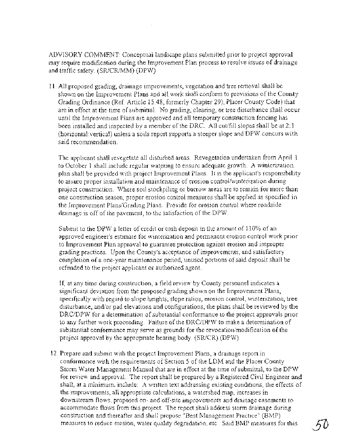ADVISORY COMMENT: Conceptual landscape plans submitted prior to project approval may require modification during the Improvement Plan process to resolve issues of drainage and traffic safety. (SR/CR/MM) (DPW)

11. All proposed grading, drainage improvements, vegetation and tree removal shall be shown on the Improvement Plans and all work shall conform to provisions of the County Grading Ordinance (Ref. Article 15.48, formerly Chapter 29), Placer County Code) that are in effect at the time of submittal. No grading, clearing, or tree disturbance shall occur until the Improvement Plans are approved and all temporary construction fencing has been installed and inspected by a member of the DRC. All cut/fill slopes shall be at  $2:1$ (horizonta1:vertical) unless a soils report supports a steeper slope and DPW concurs with said recommendation.

The applicant shall revegetate all disturbed areas. Revegetation undertaken from April 1 to October 1 shall include regular watering to ensure adequate growth. A winterization plan shall be provided with project Improvement Plans. It is the applicant's responsibility to assure proper installation and maintenance of erosion control/winterization during project construction. Where soil stockpiling or borrow areas are to remain for more than one construction season, proper erosion control measures shall be applied as specified in the Improvement PlansiGrading Plans. Provide for erosion control where roadside drainage is off of the pavement, to the satisfaction of the DPW.

Submit to the DPW a letter of credit or cash deposit in the amount of 110% of an approved engineer's estimate for winterization and permanent erosion control work prior to Improvement Plan approval to guarantee protection against erosion and improper grading practices. Upon the County's acceptance of improvements, and satisfactory completion of a one-year maintenance period, unused portions of said deposit shall be refunded to the project applicant or authorized agent.

If, at any time during construction, a field review by County personnel indicates a significant deviation from the proposed grading shown on the Improvement Plans, specifically with regard to slope heights, slope ratios, erosion control, winterization, tree disturbance, and/or pad elevations and configurations, the plans shall be reviewed by the DRC/DPW for a determination of substantial conformance to the project approvals prior to any further work proceeding. Failure of the DRC/DPW to make a determination of substantial conformance may serve as grounds for the revocation/modification of the project approval by the appropriate hearing body. (SRICR) (DPW)

12. Prepare and submit with the project Improvement Plans, a drainage report in conformance with the requirements of Section 5 of the LDM and the Placer County Storm Water Management Manual that are in effect at the time of submittal, to the DPW for review and approval. The report shall be prepared by a Registered Civil Engineer and shall, at a minimum, include: A written text addressing existing conditions, the effects of the improvements, all appropriate calculations, a watershed map, increases in downstream flows, proposed on- and off-site improvements and drainage easements to accommodate flows from this project. The report shall address storm drainage during construction and thereafter and shall propose "Best Management Practice" (BMP) measures to reduce erosion, water quality degradation, etc. Said BMP measures for this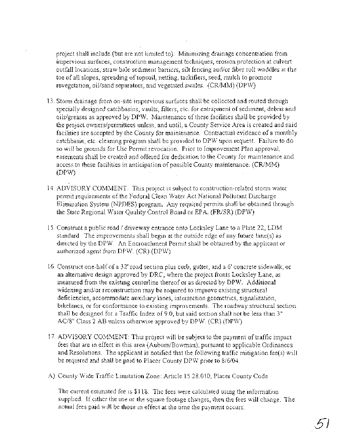project shall include (but are not limited to): Minimizing drainage concentration from impervious surfaces, construction management techniques, erosion protection at culvert outfall locations, straw bale sediment barriers, silt fencing andlor fiber roll waddles at the toe of all slopes, spreading of topsoil, netting, tackifiers, seed, mulch to promote revegetation, oillsand separators, and vegetated swales. (CRIMM) (DPW)

- 13. Storm drainage from on-site impervious surfaces shall be collected and routed through specially designed catchbasins, vaults, filters, etc. for entrapment of sediment, debris and oilsigreases as approved by DPW. Maintenance of these facilities shall be provided by the project owners/permittees unless, and until, a County Service Area is created and said facilities are accepted by the County for maintenance. Contractual evidence of a monthly catchbasin, etc. cleaning program shall be provided to DPW upon request. Failure to do so will be grounds for Use Permit revocation. Prior to Improvement Plan approval, easements shall be created and offered for dedication to the County for maintenance and access to these facilities in anticipation of possible County maintenance. (CRIMM) (DPW)
- 14. ADVISORY COMMENT: This project is subject to construction-related storm water permit requirements of the Federal Clean Water Act National Pollutant Discharge Elimination System (NPDES) program. Any required permits shall be obtained through the State Regional Water Quality Control Board or EPA. (FR/SR) (DPW)
- 15. Construct a public road 1 driveway entrance onto Locksley Lane to a Plate 22, LDM standard. The improvements shall begin at the outside edge of any future lane(s) as directed by the DPW. An Encroachment Permit shall be obtained by the applicant or authorized agent from DPW. (CR) (DPW)
- 16. Construct one-half of a 32' road section plus curb, gutter, and a 6' concrete sidewalk, or an alternative design approved by DRC, where the project fronts Locksley Lane, as measured from the existing centerline thereof or as directed by DPW. Additional widening and/or reconstruction may be required to improve existing structural deficiencies, accommodate auxiliary lanes, intersection geometrics, signalization, bikelanes, or for conformance to existing improvements. The roadway structural section shall be designed for a Traffic Index of 9.0, but said section shall not be less than 3" AC/8" Class 2 AB unless otherwise approved by DPW. (CR) (DPW)
- 17. ADVISORY COMMENT: This project will be subject to the payment of traffic impact fees that are in effect in this area (Aubum/Bowman), pursuant to applicable Ordinances and Resolutions. The applicant is notified that the following traffic mitigation fee(s) will be required and shall be paid to Placer County DPW prior to 8/6/04.
- A) County Wide Traffic Limitation Zone: Article 15.28.0 10, Placer County Code

The current estimated fee is \$118. The fees were calculated using the information supplied. If either the use or the square footage changes, then the fees will change. The actual fees paid will be those in effect at the time the payment occurs.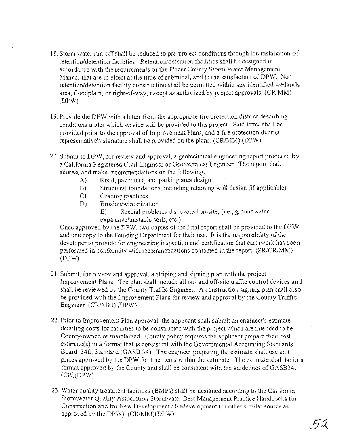- 18. Storm water run-off shall be reduced to pre-project conditions through the installation of retention/detention facilities. Retention/detention facilities shall be designed in accordance with the requirements of the Placer County Storm Water Management Manual that are in effect at the time of submittal, and to the satisfaction of DPW. No retention/detention facility construction shall be permitted within any identified wetlands area, floodplain, or right-of-way, except as authorized by project approvals. (CR/MM) (DPW)
- 19. Provide the DPW with a letter from the appropriate fire protection district describing conditions under which service will be provided to this project. Said letter shall be provided prior to the approval of Improvement Plans, and a fire protection district representative's signature shall be provided on the plans. (CRIMM) (DPW)
- 20. Submit to DPW, for review and approval, a geotechnical engineering report produced by a California Registered Civil Engineer or Geotechnical Engineer. The report shall address and make recommendations on the following:
	- A) Road, pavement, and parking area design
	- B) Structural foundations, including retaining wall design (if applicable) C) Grading practices
	- C) Grading practices
	- D) Erosion/winterization
		- E) Special problems discovered on-site, (i.e., groundwater, expansive/unstable soils, etc.)

Once approved by the DPW, two copies of the final report shall be provided to the DPW and one copy to the Building Department for their use. It is the responsibility of the developer to provide for engineering inspection and certification that earthwork has been performed in conformity with recommendations contained in the report. (SR/CR/MM) (DPW)

- 21. Submit, for review and approval, a striping and signing plan with the project Improvement Plans. The plan shall include all on- and off-site traffic control devices and shall be reviewed by the County Traffic Engineer. A construction signing plan shall also be provided with the Improvement Plans for review and approval by the County Traffic Engineer. (CRIMM) (DPW)
- 22. Prior to Improvement Plan approval, the applicant shall submit an engineer's estimate detailing costs for facilities to be constructed with the project which are intended to be County-owned or maintained. County policy requires the applicant prepare their cost estimate(s) in a format that is consistent with the Governmental Accounting Standards Board, 34th Standard (GASB 34). The engineer preparing the estimate shall use unit prices approved by the DPW for line items within the estimate. The estimate shall be in a format approved by the County and shall be consistent with the guidelines of GASB34. (CR)(DPW)
- 23. Water quality treatment facilities (BMPs) shall be designed according to the California Stormwater Quality Association Stormwater Best Management Practice Handbooks for Construction and for New Development / Redevelopment (or other similar source as approved by the DPW). (CR/MM)(DPW)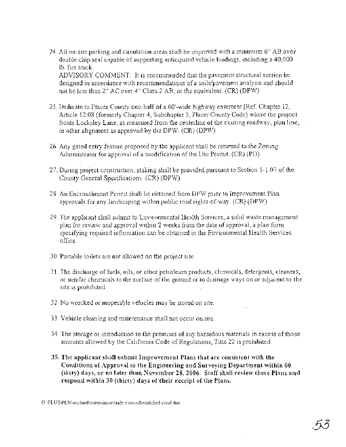24. All on-site parking and circulation areas shall be improved with a minimum 6" AB over double chip seal capable of supporting anticipated vehicle loadings, including a 40,000 lb. fire truck.

ADVISORY COMMENT: It is recommended that the pavement structural section be designed in accordance with recommendations of a soils/pavement analysis and should not be less than  $2''$  AC over  $4''$  Class 2 AB, or the equivalent.  $(CR)$  (DPW)

- 25. Dedicate to Placer County one-half of a 60'-wide highway easement (Ref. Chapter 12, Article 12.08 (formerly Chapter 4, Subchapter 5, Placer County Code) where the project fronts Locksley Lane, as measured from the centerline of the existing roadway, plan line, or other alignment as approved by the DPW. (CR) (DPW)
- 26. Any gated entry feature proposed by the applicant shall be returned to the Zoning Administrator for approval of a modification of the Use Permit. (CR) (PD)
- 27. During project construction, staking shall be provided pursuant to Section 5- 1.07 of the County General Specifications. (CR) (DPW)'
- 28. An Encroachment Permit shall be obtained from DPW prior to Improvement Plan approvals for any landscaping within public road rights-of-way. (CR) (DPW)
- 29. The applicant shall submit to Environmental Health Services, a solid waste management plan for review and approval within 2 weeks from the date of approval, a plan form specifying required information can be obtained in the Environmental Health Services office.
- 30. Portable toilets are not allowed on the project site
- 3 1. The discharge of fuels, oils, or other petroleum products, chemicals, detergents, cleaners, or similar chemicals to the surface of the ground or to drainage ways on or adjacent to the site is prohibited.
- 32. No wrecked or inoperable vehicles may be stored on site.
- 33. Vehicle cleaning and maintenance shall not occur on site
- 34. The storage or introduction to the premises of any hazardous materials in excess of those amounts allowed by the California Code of Regulations, Title 22 is prohibited.
- **35. The applicant shall submit Improvement Plans that are consistent with the Conditions of Approval to the Engineering and Surveying Department within 60 (sixty) days, or no later than November 28, 2006. Staff shall review these Plans and respond within 30 (thirty) days of their receipt of the Plans.**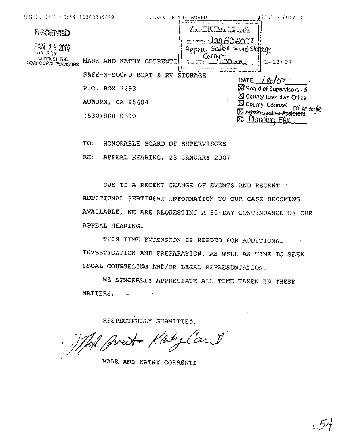| 25.10.2907 66.54 16308894099        | CLERK OF                                              | THE BOARD                                | #7067 5.001/101                                                         |
|-------------------------------------|-------------------------------------------------------|------------------------------------------|-------------------------------------------------------------------------|
| <b>Feceived</b>                     |                                                       | Alenda stem                              |                                                                         |
| 顶滑 16 2007<br>90 新区<br>CUSPICOF THE |                                                       | <u> Jan 23.2007</u><br>Appeo<br>Correnti | en Sound Storage                                                        |
| GROSSI OG SLÆGARSONS                | MARX AND KATHY<br>CORRENTI<br>SAFE-N-SOUND BOAT<br>&. | Tallin<br>RV<br><b>STORAGE</b>           | $1 - 12 - 07$                                                           |
|                                     | P.O. BOX 3293                                         |                                          | DATE_<br><b>X</b> Board of Supervisors - 5<br>X County Executive Office |
|                                     | AUBURN, CA 95604                                      |                                          | <b>N</b> County Counset<br>mike Baye                                    |
|                                     | $(530)888 - 0600$                                     |                                          | <b>XI Administrative Assistant</b><br><u>Planoim FAX</u>                |

TO: HONORABLE BOARD OF SUPERVISORS

RE: APPEAL HEARING, 23 JANUARY 2007

OUE TO A RECENT CHANGE OF EVENTS AND RECENT ADDITIONAL PERTINENT INFORMATION TO OUR CASE BECOMING AVAILABLE, WE ARE REQUESTING A 30-DAY CONTINUANCE OF OUR APPEAL HEARING.

THIS TIME EXTENSION IS NEEDED FOR ADDITIONAL  $\sim 100$ INVESTIGATION AND PREPARATION. AS WELL AS TIME TO SEEK LEGAL COUNSELING AND/OR LEGAL REPRESENTATION.

NE SINCERELY APPRECIATE ALL TIME TAKEN IN THESE MATTERS.

RESPECTFULLY SUBMITTED.

That preit Kaby Cand

MARK AND KATHY CORRENTI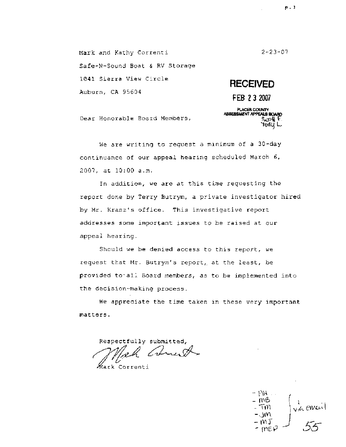**Mark and Kathy** Correnti  $2 - 23 - 07$ Safe-N-Sound Boat & RV Storage 1041 Sierra View **Circle RECEIVED**  Auburn, CA **95604**  FEB **2 3 2007** 

> PLACER COUNTY<br>ASSESSMENT APPEALS BOARD s∵o# tonu I

Dear Honorable Board Members,

**We** are **writing** to request **a** minimum of a **30-day**  continuance of our appeal hearing scheduled March 6, **2007,** at 10:OO a.m.

In addition, we are at this time **requesting** the report done by Terry **Butrym,** a private investigator hired by Mr. Kranz's **office-** This investigative **report addresses** some important issues to be raised at **our**  appeal **hearing.** 

**Should** we be denied access to this report, we request that Mr. **Butrym's** report,. at **the** least, be provided **to.all** Board members, as to be **implemented** into the decision-making process.

We appreciate the time **taken in these** very **important matters.** 

Respectfully submitted,<br>*Which Convent* 

Kark Correnti

 $+$  14  $+$ - MB  $\frac{1}{\sqrt{6}}$  ensured Tm.